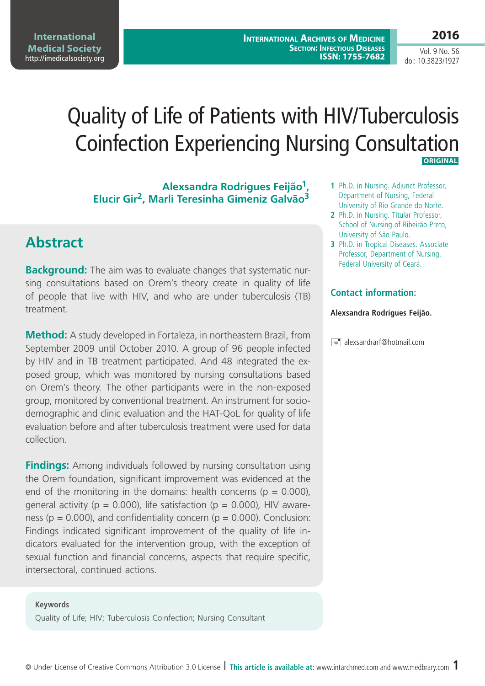**2016**

Vol. 9 No. 56 doi: 10.3823/1927

# Quality of Life of Patients with HIV/Tuberculosis Coinfection Experiencing Nursing Consultation **Original**

**Alexsandra Rodrigues Feijão1, Elucir Gir2, Marli Teresinha Gimeniz Galvão3**

## **Abstract**

**Background:** The aim was to evaluate changes that systematic nursing consultations based on Orem's theory create in quality of life of people that live with HIV, and who are under tuberculosis (TB) treatment.

**Method:** A study developed in Fortaleza, in northeastern Brazil, from September 2009 until October 2010. A group of 96 people infected by HIV and in TB treatment participated. And 48 integrated the exposed group, which was monitored by nursing consultations based on Orem's theory. The other participants were in the non-exposed group, monitored by conventional treatment. An instrument for sociodemographic and clinic evaluation and the HAT-QoL for quality of life evaluation before and after tuberculosis treatment were used for data collection.

**Findings:** Among individuals followed by nursing consultation using the Orem foundation, significant improvement was evidenced at the end of the monitoring in the domains: health concerns ( $p = 0.000$ ), general activity ( $p = 0.000$ ), life satisfaction ( $p = 0.000$ ), HIV awareness ( $p = 0.000$ ), and confidentiality concern ( $p = 0.000$ ). Conclusion: Findings indicated significant improvement of the quality of life indicators evaluated for the intervention group, with the exception of sexual function and financial concerns, aspects that require specific, intersectoral, continued actions.

#### **Keywords**

Quality of Life; HIV; Tuberculosis Coinfection; Nursing Consultant

- **1** Ph.D. in Nursing. Adjunct Professor, Department of Nursing, Federal University of Rio Grande do Norte.
- **2** Ph.D. in Nursing. Titular Professor, School of Nursing of Ribeirão Preto, University of São Paulo.
- **3** Ph.D. in Tropical Diseases. Associate Professor, Department of Nursing, Federal University of Ceará.

#### **Contact information:**

#### **Alexsandra Rodrigues Feijão.**

 $\equiv$  alexsandrarf@hotmail.com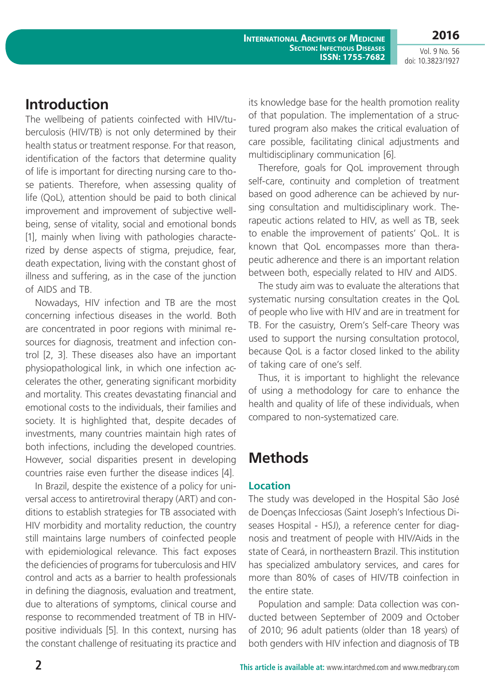**2016**

Vol. 9 No. 56 doi: 10.3823/1927

## **Introduction**

The wellbeing of patients coinfected with HIV/tuberculosis (HIV/TB) is not only determined by their health status or treatment response. For that reason, identification of the factors that determine quality of life is important for directing nursing care to those patients. Therefore, when assessing quality of life (QoL), attention should be paid to both clinical improvement and improvement of subjective wellbeing, sense of vitality, social and emotional bonds [1], mainly when living with pathologies characterized by dense aspects of stigma, prejudice, fear, death expectation, living with the constant ghost of illness and suffering, as in the case of the junction of AIDS and TB.

Nowadays, HIV infection and TB are the most concerning infectious diseases in the world. Both are concentrated in poor regions with minimal resources for diagnosis, treatment and infection control [2, 3]. These diseases also have an important physiopathological link, in which one infection accelerates the other, generating significant morbidity and mortality. This creates devastating financial and emotional costs to the individuals, their families and society. It is highlighted that, despite decades of investments, many countries maintain high rates of both infections, including the developed countries. However, social disparities present in developing countries raise even further the disease indices [4].

In Brazil, despite the existence of a policy for universal access to antiretroviral therapy (ART) and conditions to establish strategies for TB associated with HIV morbidity and mortality reduction, the country still maintains large numbers of coinfected people with epidemiological relevance. This fact exposes the deficiencies of programs for tuberculosis and HIV control and acts as a barrier to health professionals in defining the diagnosis, evaluation and treatment, due to alterations of symptoms, clinical course and response to recommended treatment of TB in HIVpositive individuals [5]. In this context, nursing has the constant challenge of resituating its practice and

its knowledge base for the health promotion reality of that population. The implementation of a structured program also makes the critical evaluation of care possible, facilitating clinical adjustments and multidisciplinary communication [6].

Therefore, goals for QoL improvement through self-care, continuity and completion of treatment based on good adherence can be achieved by nursing consultation and multidisciplinary work. Therapeutic actions related to HIV, as well as TB, seek to enable the improvement of patients' QoL. It is known that QoL encompasses more than therapeutic adherence and there is an important relation between both, especially related to HIV and AIDS.

The study aim was to evaluate the alterations that systematic nursing consultation creates in the QoL of people who live with HIV and are in treatment for TB. For the casuistry, Orem's Self-care Theory was used to support the nursing consultation protocol, because QoL is a factor closed linked to the ability of taking care of one's self.

Thus, it is important to highlight the relevance of using a methodology for care to enhance the health and quality of life of these individuals, when compared to non-systematized care.

# **Methods**

### **Location**

The study was developed in the Hospital São José de Doenças Infecciosas (Saint Joseph's Infectious Diseases Hospital - HSJ), a reference center for diagnosis and treatment of people with HIV/Aids in the state of Ceará, in northeastern Brazil. This institution has specialized ambulatory services, and cares for more than 80% of cases of HIV/TB coinfection in the entire state.

Population and sample: Data collection was conducted between September of 2009 and October of 2010; 96 adult patients (older than 18 years) of both genders with HIV infection and diagnosis of TB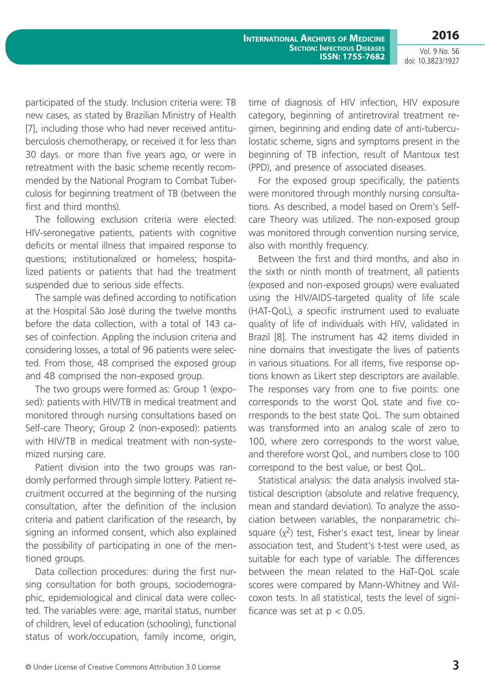**International Archives of Medicine Section: Infectious Diseases ISSN: 1755-7682 2016**

Vol. 9 No. 56 doi: 10.3823/1927

participated of the study. Inclusion criteria were: TB new cases, as stated by Brazilian Ministry of Health [7], including those who had never received antituberculosis chemotherapy, or received it for less than 30 days. or more than five years ago, or were in retreatment with the basic scheme recently recommended by the National Program to Combat Tuberculosis for beginning treatment of TB (between the first and third months).

The following exclusion criteria were elected: HIV-seronegative patients, patients with cognitive deficits or mental illness that impaired response to questions; institutionalized or homeless; hospitalized patients or patients that had the treatment suspended due to serious side effects.

The sample was defined according to notification at the Hospital São José during the twelve months before the data collection, with a total of 143 cases of coinfection. Appling the inclusion criteria and considering losses, a total of 96 patients were selected. From those, 48 comprised the exposed group and 48 comprised the non-exposed group.

The two groups were formed as: Group 1 (exposed): patients with HIV/TB in medical treatment and monitored through nursing consultations based on Self-care Theory; Group 2 (non-exposed): patients with HIV/TB in medical treatment with non-systemized nursing care.

Patient division into the two groups was randomly performed through simple lottery. Patient recruitment occurred at the beginning of the nursing consultation, after the definition of the inclusion criteria and patient clarification of the research, by signing an informed consent, which also explained the possibility of participating in one of the mentioned groups.

Data collection procedures: during the first nursing consultation for both groups, sociodemographic, epidemiological and clinical data were collected. The variables were: age, marital status, number of children, level of education (schooling), functional status of work/occupation, family income, origin, time of diagnosis of HIV infection, HIV exposure category, beginning of antiretroviral treatment regimen, beginning and ending date of anti-tuberculostatic scheme, signs and symptoms present in the beginning of TB infection, result of Mantoux test (PPD), and presence of associated diseases.

For the exposed group specifically, the patients were monitored through monthly nursing consultations. As described, a model based on Orem's Selfcare Theory was utilized. The non-exposed group was monitored through convention nursing service, also with monthly frequency.

Between the first and third months, and also in the sixth or ninth month of treatment, all patients (exposed and non-exposed groups) were evaluated using the HIV/AIDS-targeted quality of life scale (HAT-QoL), a specific instrument used to evaluate quality of life of individuals with HIV, validated in Brazil [8]. The instrument has 42 items divided in nine domains that investigate the lives of patients in various situations. For all items, five response options known as Likert step descriptors are available. The responses vary from one to five points: one corresponds to the worst QoL state and five corresponds to the best state QoL. The sum obtained was transformed into an analog scale of zero to 100, where zero corresponds to the worst value, and therefore worst QoL, and numbers close to 100 correspond to the best value, or best QoL.

Statistical analysis: the data analysis involved statistical description (absolute and relative frequency, mean and standard deviation). To analyze the association between variables, the nonparametric chisquare  $(x^2)$  test, Fisher's exact test, linear by linear association test, and Student's t-test were used, as suitable for each type of variable. The differences between the mean related to the HaT-QoL scale scores were compared by Mann-Whitney and Wilcoxon tests. In all statistical, tests the level of significance was set at  $p < 0.05$ .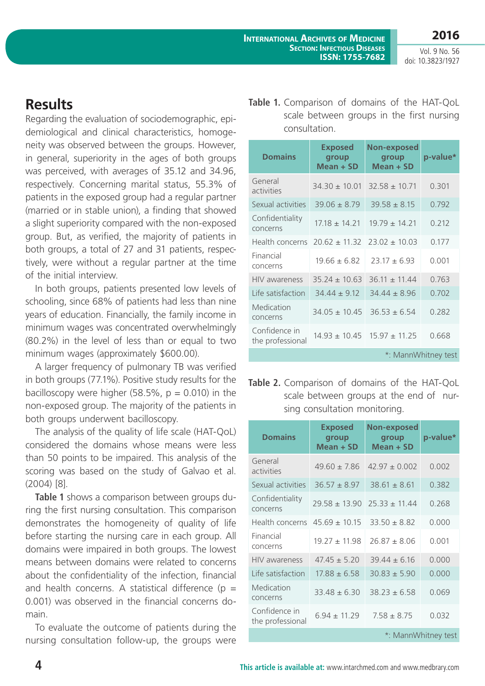Vol. 9 No. 56 doi: 10.3823/1927

## **Results**

Regarding the evaluation of sociodemographic, epidemiological and clinical characteristics, homogeneity was observed between the groups. However, in general, superiority in the ages of both groups was perceived, with averages of 35.12 and 34.96, respectively. Concerning marital status, 55.3% of patients in the exposed group had a regular partner (married or in stable union), a finding that showed a slight superiority compared with the non-exposed group. But, as verified, the majority of patients in both groups, a total of 27 and 31 patients, respectively, were without a regular partner at the time of the initial interview.

In both groups, patients presented low levels of schooling, since 68% of patients had less than nine years of education. Financially, the family income in minimum wages was concentrated overwhelmingly (80.2%) in the level of less than or equal to two minimum wages (approximately \$600.00).

A larger frequency of pulmonary TB was verified in both groups (77.1%). Positive study results for the bacilloscopy were higher (58.5%,  $p = 0.010$ ) in the non-exposed group. The majority of the patients in both groups underwent bacilloscopy.

The analysis of the quality of life scale (HAT-QoL) considered the domains whose means were less than 50 points to be impaired. This analysis of the scoring was based on the study of Galvao et al. (2004) [8].

**Table 1** shows a comparison between groups during the first nursing consultation. This comparison demonstrates the homogeneity of quality of life before starting the nursing care in each group. All domains were impaired in both groups. The lowest means between domains were related to concerns about the confidentiality of the infection, financial and health concerns. A statistical difference ( $p =$ 0.001) was observed in the financial concerns domain.

To evaluate the outcome of patients during the nursing consultation follow-up, the groups were **Table 1.** Comparison of domains of the HAT-QoL scale between groups in the first nursing consultation.

| <b>Domains</b>                    | <b>Exposed</b><br>group<br>Mean + SD | <b>Non-exposed</b><br>group<br>Mean + SD | p-value* |  |
|-----------------------------------|--------------------------------------|------------------------------------------|----------|--|
| General<br>activities             | $34.30 \pm 10.01$                    | $32.58 \pm 10.71$                        | 0.301    |  |
| Sexual activities                 | $39.06 \pm 8.79$                     | $39.58 \pm 8.15$                         | 0.792    |  |
| Confidentiality<br>concerns       | $17.18 \pm 14.21$                    | $19.79 \pm 14.21$                        | 0.212    |  |
| Health concerns                   | $20.62 \pm 11.32$                    | $23.02 \pm 10.03$                        | 0.177    |  |
| Financial<br>concerns             | $19.66 \pm 6.82$                     | $23.17 \pm 6.93$                         | 0.001    |  |
| <b>HIV</b> awareness              | $35.24 + 10.63$                      | $36.11 \pm 11.44$                        | 0.763    |  |
| Life satisfaction                 | $34.44 \pm 9.12$                     | $34.44 \pm 8.96$                         | 0.702    |  |
| Medication<br>concerns            | $34.05 \pm 10.45$                    | $36.53 \pm 6.54$                         | 0.282    |  |
| Confidence in<br>the professional | $14.93 \pm 10.45$                    | $15.97 \pm 11.25$                        | 0.668    |  |
| *: MannWhitney test               |                                      |                                          |          |  |

**Table 2.** Comparison of domains of the HAT-QoL scale between groups at the end of nursing consultation monitoring.

| <b>Domains</b>                    | <b>Exposed</b><br>group<br>Mean + SD | <b>Non-exposed</b><br>group<br>Mean + SD | p-value* |  |
|-----------------------------------|--------------------------------------|------------------------------------------|----------|--|
| General<br>activities             | $49.60 + 7.86$                       | $42.97 + 0.002$                          | 0.002    |  |
| Sexual activities                 | $36.57 \pm 8.97$                     | $38.61 \pm 8.61$                         | 0.382    |  |
| Confidentiality<br>concerns       | $29.58 \pm 13.90$                    | $25.33 \pm 11.44$                        | 0.268    |  |
| Health concerns                   | $45.69 \pm 10.15$                    | $33.50 \pm 8.82$                         | 0.000    |  |
| Financial<br>concerns             | $19.27 \pm 11.98$                    | $26.87 \pm 8.06$                         | 0.001    |  |
| <b>HIV</b> awareness              | $47.45 + 5.20$                       | $39.44 + 6.16$                           | 0.000    |  |
| Life satisfaction                 | $17.88 \pm 6.58$                     | $30.83 \pm 5.90$                         | 0.000    |  |
| Medication<br>concerns            | $33.48 \pm 6.30$                     | $38.23 \pm 6.58$                         | 0.069    |  |
| Confidence in<br>the professional | $6.94 \pm 11.29$                     | $7.58 \pm 8.75$                          | 0.032    |  |
| *: MannWhitney test               |                                      |                                          |          |  |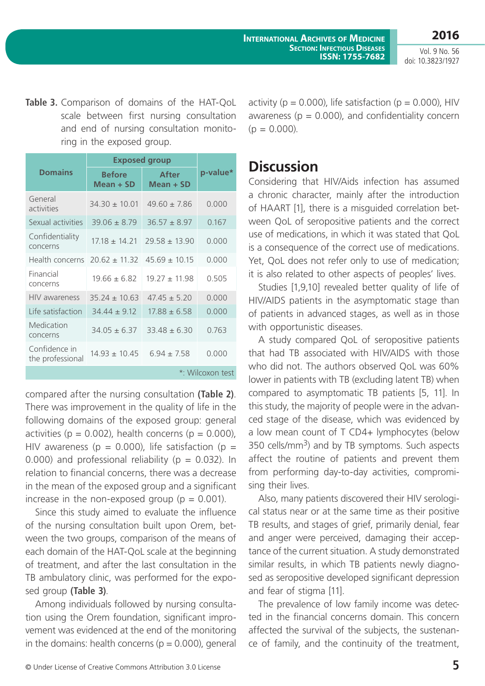**International Archives of Medicine Section: Infectious Diseases ISSN: 1755-7682**

Vol. 9 No. 56 doi: 10.3823/1927

**2016**

**Table 3.** Comparison of domains of the HAT-QoL scale between first nursing consultation and end of nursing consultation monitoring in the exposed group.

|                                   | <b>Exposed group</b>         |                             |          |  |
|-----------------------------------|------------------------------|-----------------------------|----------|--|
| <b>Domains</b>                    | <b>Before</b><br>$Mean + SD$ | <b>After</b><br>$Mean + SD$ | p-value* |  |
| General<br>activities             | $34.30 \pm 10.01$            | $49.60 \pm 7.86$            | 0.000    |  |
| Sexual activities                 | $39.06 \pm 8.79$             | $36.57 \pm 8.97$            | 0.167    |  |
| Confidentiality<br>concerns       | $1718 + 1421$                | $29.58 \pm 13.90$           | 0.000    |  |
| Health concerns                   | $20.62 \pm 11.32$            | $45.69 \pm 10.15$           | 0.000    |  |
| Financial<br>concerns             | $19.66 \pm 6.82$             | $19.27 \pm 11.98$           | 0.505    |  |
| <b>HIV</b> awareness              | $35.24 + 10.63$              | $47.45 + 5.20$              | 0.000    |  |
| Life satisfaction                 | $34.44 \pm 9.12$             | $17.88 \pm 6.58$            | 0.000    |  |
| Medication<br>concerns            | $34.05 \pm 6.37$             | $33.48 \pm 6.30$            | 0.763    |  |
| Confidence in<br>the professional | $14.93 \pm 10.45$            | $6.94 \pm 7.58$             | 0.000    |  |
| *: Wilcoxon test                  |                              |                             |          |  |

compared after the nursing consultation **(Table 2)**. There was improvement in the quality of life in the following domains of the exposed group: general activities ( $p = 0.002$ ), health concerns ( $p = 0.000$ ), HIV awareness ( $p = 0.000$ ), life satisfaction ( $p =$ 0.000) and professional reliability ( $p = 0.032$ ). In relation to financial concerns, there was a decrease in the mean of the exposed group and a significant increase in the non-exposed group ( $p = 0.001$ ).

Since this study aimed to evaluate the influence of the nursing consultation built upon Orem, between the two groups, comparison of the means of each domain of the HAT-QoL scale at the beginning of treatment, and after the last consultation in the TB ambulatory clinic, was performed for the exposed group **(Table 3)**.

Among individuals followed by nursing consultation using the Orem foundation, significant improvement was evidenced at the end of the monitoring in the domains: health concerns ( $p = 0.000$ ), general activity ( $p = 0.000$ ), life satisfaction ( $p = 0.000$ ), HIV awareness ( $p = 0.000$ ), and confidentiality concern  $(p = 0.000)$ .

### **Discussion**

Considering that HIV/Aids infection has assumed a chronic character, mainly after the introduction of HAART [1], there is a misguided correlation between QoL of seropositive patients and the correct use of medications, in which it was stated that QoL is a consequence of the correct use of medications. Yet, QoL does not refer only to use of medication; it is also related to other aspects of peoples' lives.

Studies [1,9,10] revealed better quality of life of HIV/AIDS patients in the asymptomatic stage than of patients in advanced stages, as well as in those with opportunistic diseases.

A study compared QoL of seropositive patients that had TB associated with HIV/AIDS with those who did not. The authors observed QoL was 60% lower in patients with TB (excluding latent TB) when compared to asymptomatic TB patients [5, 11]. In this study, the majority of people were in the advanced stage of the disease, which was evidenced by a low mean count of T CD4+ lymphocytes (below 350 cells/ $mm<sup>3</sup>$ ) and by TB symptoms. Such aspects affect the routine of patients and prevent them from performing day-to-day activities, compromising their lives.

Also, many patients discovered their HIV serological status near or at the same time as their positive TB results, and stages of grief, primarily denial, fear and anger were perceived, damaging their acceptance of the current situation. A study demonstrated similar results, in which TB patients newly diagnosed as seropositive developed significant depression and fear of stigma [11].

The prevalence of low family income was detected in the financial concerns domain. This concern affected the survival of the subjects, the sustenance of family, and the continuity of the treatment,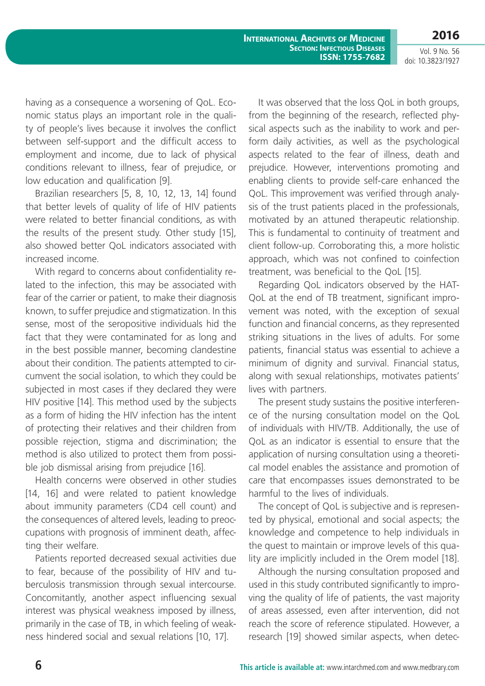**International Archives of Medicine Section: Infectious Diseases ISSN: 1755-7682**

**2016** Vol. 9 No. 56 doi: 10.3823/1927

having as a consequence a worsening of QoL. Economic status plays an important role in the quality of people's lives because it involves the conflict between self-support and the difficult access to employment and income, due to lack of physical conditions relevant to illness, fear of prejudice, or low education and qualification [9].

Brazilian researchers [5, 8, 10, 12, 13, 14] found that better levels of quality of life of HIV patients were related to better financial conditions, as with the results of the present study. Other study [15], also showed better QoL indicators associated with increased income.

With regard to concerns about confidentiality related to the infection, this may be associated with fear of the carrier or patient, to make their diagnosis known, to suffer prejudice and stigmatization. In this sense, most of the seropositive individuals hid the fact that they were contaminated for as long and in the best possible manner, becoming clandestine about their condition. The patients attempted to circumvent the social isolation, to which they could be subjected in most cases if they declared they were HIV positive [14]. This method used by the subjects as a form of hiding the HIV infection has the intent of protecting their relatives and their children from possible rejection, stigma and discrimination; the method is also utilized to protect them from possible job dismissal arising from prejudice [16].

Health concerns were observed in other studies [14, 16] and were related to patient knowledge about immunity parameters (CD4 cell count) and the consequences of altered levels, leading to preoccupations with prognosis of imminent death, affecting their welfare.

Patients reported decreased sexual activities due to fear, because of the possibility of HIV and tuberculosis transmission through sexual intercourse. Concomitantly, another aspect influencing sexual interest was physical weakness imposed by illness, primarily in the case of TB, in which feeling of weakness hindered social and sexual relations [10, 17].

It was observed that the loss QoL in both groups, from the beginning of the research, reflected physical aspects such as the inability to work and perform daily activities, as well as the psychological aspects related to the fear of illness, death and prejudice. However, interventions promoting and enabling clients to provide self-care enhanced the QoL. This improvement was verified through analysis of the trust patients placed in the professionals, motivated by an attuned therapeutic relationship. This is fundamental to continuity of treatment and client follow-up. Corroborating this, a more holistic approach, which was not confined to coinfection treatment, was beneficial to the QoL [15].

Regarding QoL indicators observed by the HAT-QoL at the end of TB treatment, significant improvement was noted, with the exception of sexual function and financial concerns, as they represented striking situations in the lives of adults. For some patients, financial status was essential to achieve a minimum of dignity and survival. Financial status, along with sexual relationships, motivates patients' lives with partners.

The present study sustains the positive interference of the nursing consultation model on the QoL of individuals with HIV/TB. Additionally, the use of QoL as an indicator is essential to ensure that the application of nursing consultation using a theoretical model enables the assistance and promotion of care that encompasses issues demonstrated to be harmful to the lives of individuals.

The concept of QoL is subjective and is represented by physical, emotional and social aspects; the knowledge and competence to help individuals in the quest to maintain or improve levels of this quality are implicitly included in the Orem model [18].

Although the nursing consultation proposed and used in this study contributed significantly to improving the quality of life of patients, the vast majority of areas assessed, even after intervention, did not reach the score of reference stipulated. However, a research [19] showed similar aspects, when detec-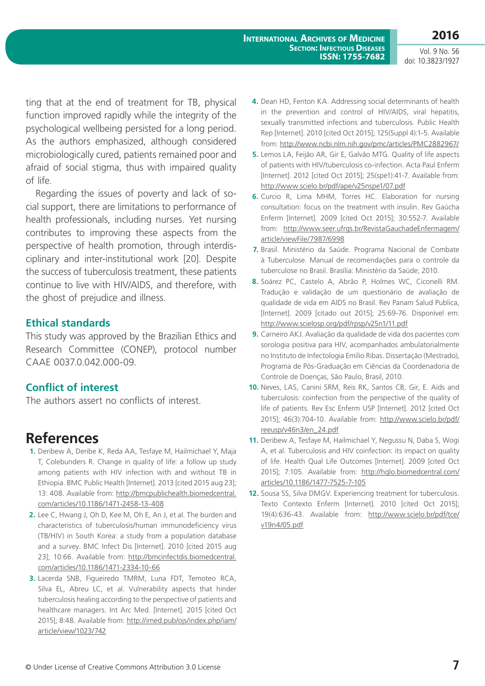Vol. 9 No. 56 doi: 10.3823/1927

**2016**

ting that at the end of treatment for TB, physical function improved rapidly while the integrity of the psychological wellbeing persisted for a long period. As the authors emphasized, although considered microbiologically cured, patients remained poor and afraid of social stigma, thus with impaired quality of life.

Regarding the issues of poverty and lack of social support, there are limitations to performance of health professionals, including nurses. Yet nursing contributes to improving these aspects from the perspective of health promotion, through interdisciplinary and inter-institutional work [20]. Despite the success of tuberculosis treatment, these patients continue to live with HIV/AIDS, and therefore, with the ghost of prejudice and illness.

#### **Ethical standards**

This study was approved by the Brazilian Ethics and Research Committee (CONEP), protocol number CAAE 0037.0.042.000-09.

#### **Conflict of interest**

The authors assert no conflicts of interest.

### **References**

- **1.** Deribew A, Deribe K, Reda AA, Tesfaye M, Hailmichael Y, Maja T, Colebunders R. Change in quality of life: a follow up study among patients with HIV infection with and without TB in Ethiopia. BMC Public Health [Internet]. 2013 [cited 2015 aug 23]; 13: 408. Available from: [http://bmcpublichealth.biomedcentral.](http://bmcpublichealth.biomedcentral.com/articles/10.1186/1471-2458-13-408) [com/articles/10.1186/1471-2458-13-408](http://bmcpublichealth.biomedcentral.com/articles/10.1186/1471-2458-13-408)
- **2.** Lee C, Hwang J, Oh D, Kee M, Oh E, An J, et al. The burden and characteristics of tuberculosis/human immunodeficiency virus (TB/HIV) in South Korea: a study from a population database and a survey. BMC Infect Dis [Internet]. 2010 [cited 2015 aug 23]; 10:66. Available from: [http://bmcinfectdis.biomedcentral.](http://bmcinfectdis.biomedcentral.com/articles/10.1186/1471-2334-10-66) [com/articles/10.1186/1471-2334-10-66](http://bmcinfectdis.biomedcentral.com/articles/10.1186/1471-2334-10-66)
- **3.** Lacerda SNB, Figueiredo TMRM, Luna FDT, Temoteo RCA, Silva EL, Abreu LC, et al. Vulnerability aspects that hinder tuberculosis healing according to the perspective of patients and healthcare managers. Int Arc Med. [Internet]. 2015 [cited Oct 2015]; 8:48. Available from: [http://imed.pub/ojs/index.php/iam/](http://imed.pub/ojs/index.php/iam/article/view/1023/742) [article/view/1023/742](http://imed.pub/ojs/index.php/iam/article/view/1023/742)
- **4.** Dean HD, Fenton KA. Addressing social determinants of health in the prevention and control of HIV/AIDS, viral hepatitis, sexually transmitted infections and tuberculosis. Public Health Rep [Internet]. 2010 [cited Oct 2015]; 125(Suppl 4):1-5. Available from: <http://www.ncbi.nlm.nih.gov/pmc/articles/PMC2882967/>
- **5.** Lemos LA, Feijão AR, Gir E, Galvão MTG. Quality of life aspects of patients with HIV/tuberculosis co-infection. Acta Paul Enferm [Internet]. 2012 [cited Oct 2015]; 25(spe1):41-7. Available from: <http://www.scielo.br/pdf/ape/v25nspe1/07.pdf>
- **6.** Curcio R, Lima MHM, Torres HC. Elaboration for nursing consultation: focus on the treatment with insulin. Rev Gaúcha Enferm [Internet]. 2009 [cited Oct 2015]; 30:552-7. Available from: [http://www.seer.ufrgs.br/RevistaGauchadeEnfermagem/](http://www.seer.ufrgs.br/RevistaGauchadeEnfermagem/article/viewFile/7987/6998) [article/viewFile/7987/6998](http://www.seer.ufrgs.br/RevistaGauchadeEnfermagem/article/viewFile/7987/6998)
- **7.** Brasil. Ministério da Saúde. Programa Nacional de Combate à Tuberculose. Manual de recomendações para o controle da tuberculose no Brasil. Brasília: Ministério da Saúde; 2010.
- **8.** Soárez PC, Castelo A, Abrão P, Holmes WC, Ciconelli RM. Tradução e validação de um questionário de avaliação de qualidade de vida em AIDS no Brasil. Rev Panam Salud Publica, [Internet]. 2009 [citado out 2015]; 25:69-76. Disponível em: <http://www.scielosp.org/pdf/rpsp/v25n1/11.pdf>
- **9.** Carneiro AKJ. Avaliação da qualidade de vida dos pacientes com sorologia positiva para HIV, acompanhados ambulatorialmente no Instituto de Infectologia Emílio Ribas. Dissertação (Mestrado), Programa de Pós-Graduação em Ciências da Coordenadoria de Controle de Doenças, São Paulo, Brasil, 2010.
- **10.** Neves, LAS, Canini SRM, Reis RK, Santos CB, Gir, E. Aids and tuberculosis: coinfection from the perspective of the quality of life of patients. Rev Esc Enferm USP [Internet]. 2012 [cited Oct 2015]; 46(3):704-10. Available from: [http://www.scielo.br/pdf/](http://www.scielo.br/pdf/reeusp/v46n3/en_24.pdf) [reeusp/v46n3/en\\_24.pdf](http://www.scielo.br/pdf/reeusp/v46n3/en_24.pdf)
- **11.** Deribew A, Tesfaye M, Hailmichael Y, Negussu N, Daba S, Wogi A, et al. Tuberculosis and HIV coinfection: its impact on quality of life. Health Qual Life Outcomes [Internet]. 2009 [cited Oct 2015]; 7:105. Available from: [http://hqlo.biomedcentral.com/](http://hqlo.biomedcentral.com/articles/10.1186/1477-7525-7-105) [articles/10.1186/1477-7525-7-105](http://hqlo.biomedcentral.com/articles/10.1186/1477-7525-7-105)
- **12.** Sousa SS, Silva DMGV. Experiencing treatment for tuberculosis. Texto Contexto Enferm [Internet]. 2010 [cited Oct 2015]; 19(4):636-43. Available from: [http://www.scielo.br/pdf/tce/](http://www.scielo.br/pdf/tce/v19n4/05.pdf) [v19n4/05.pdf](http://www.scielo.br/pdf/tce/v19n4/05.pdf)